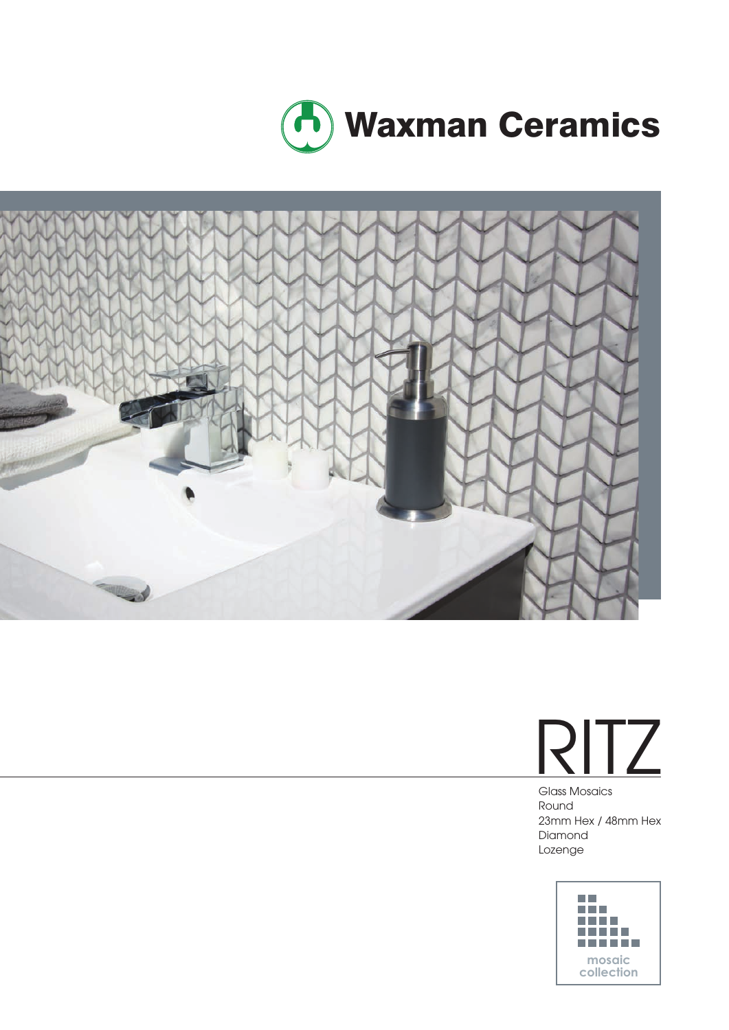





Glass Mosaics Round 23mm Hex / 48mm Hex Diamond Lozenge

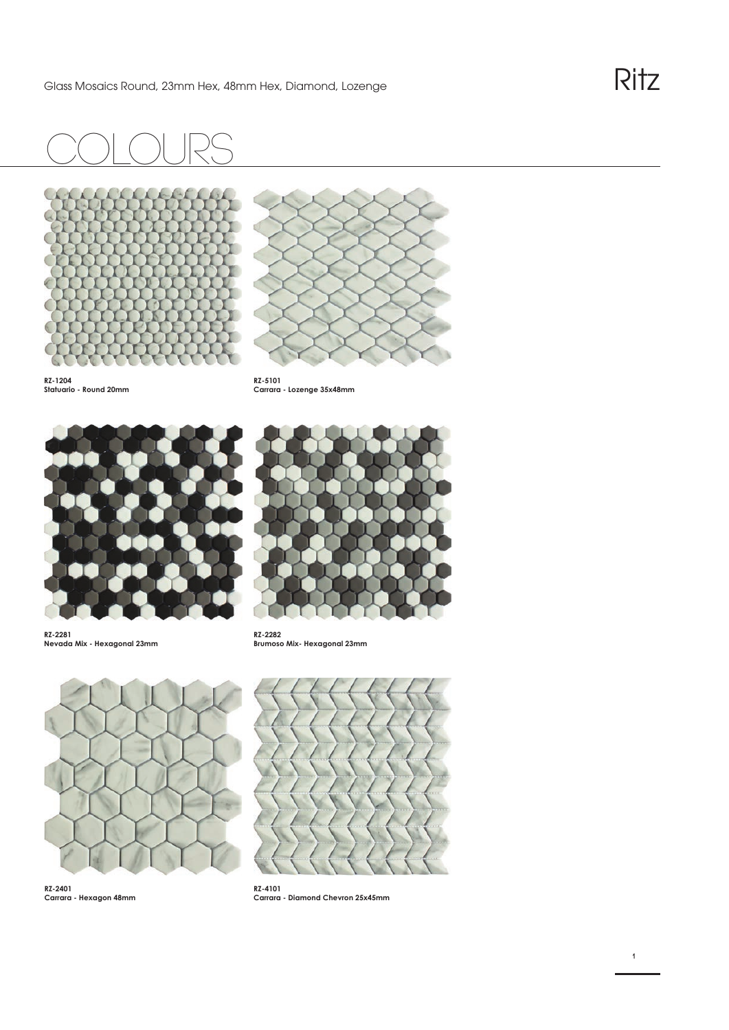## COlours







**RZ-5101 Carrara - Lozenge 35x48mm**



**RZ-2281 Nevada Mix - Hexagonal 23mm** 



**RZ-2282 Brumoso Mix- Hexagonal 23mm** 



**RZ-2401 Carrara - Hexagon 48mm** 



**RZ-4101 Carrara - Diamond Chevron 25x45mm**

**1**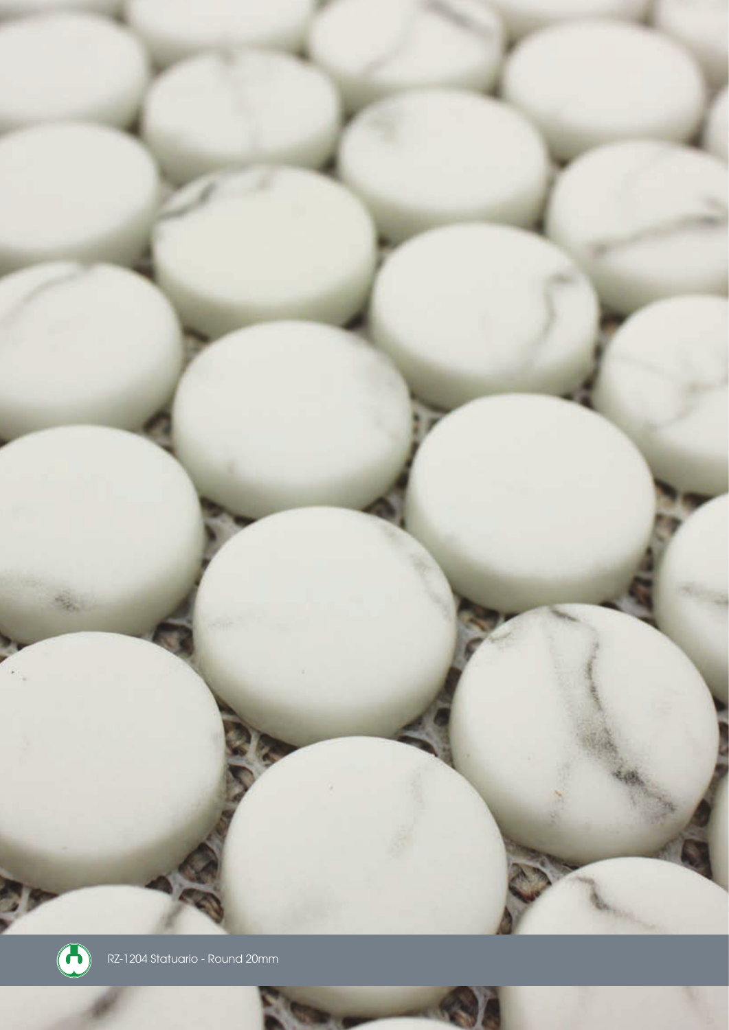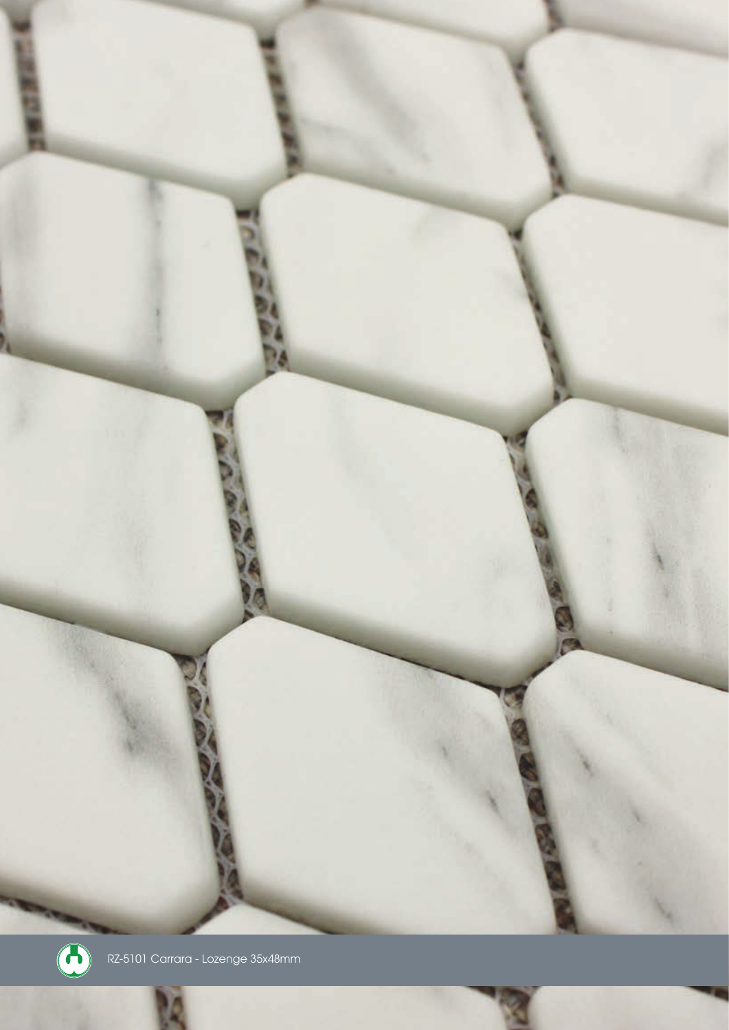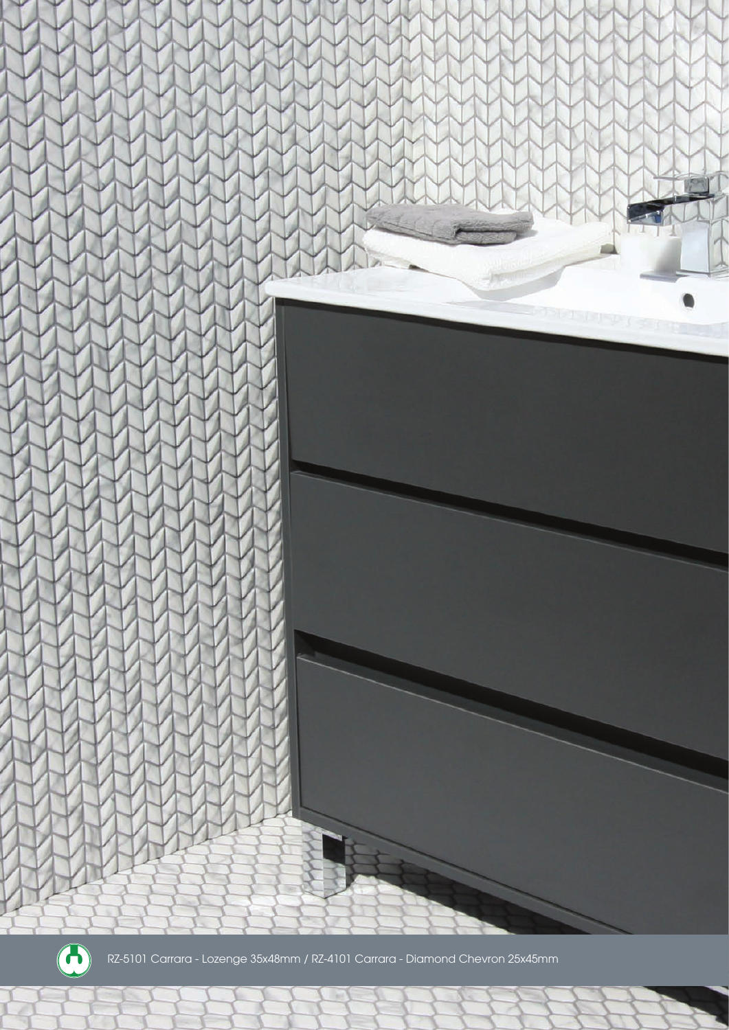



RZ-5101 Carrara - Lozenge 35x48mm / RZ-4101 Carrara - Diamond Chevron 25x45mm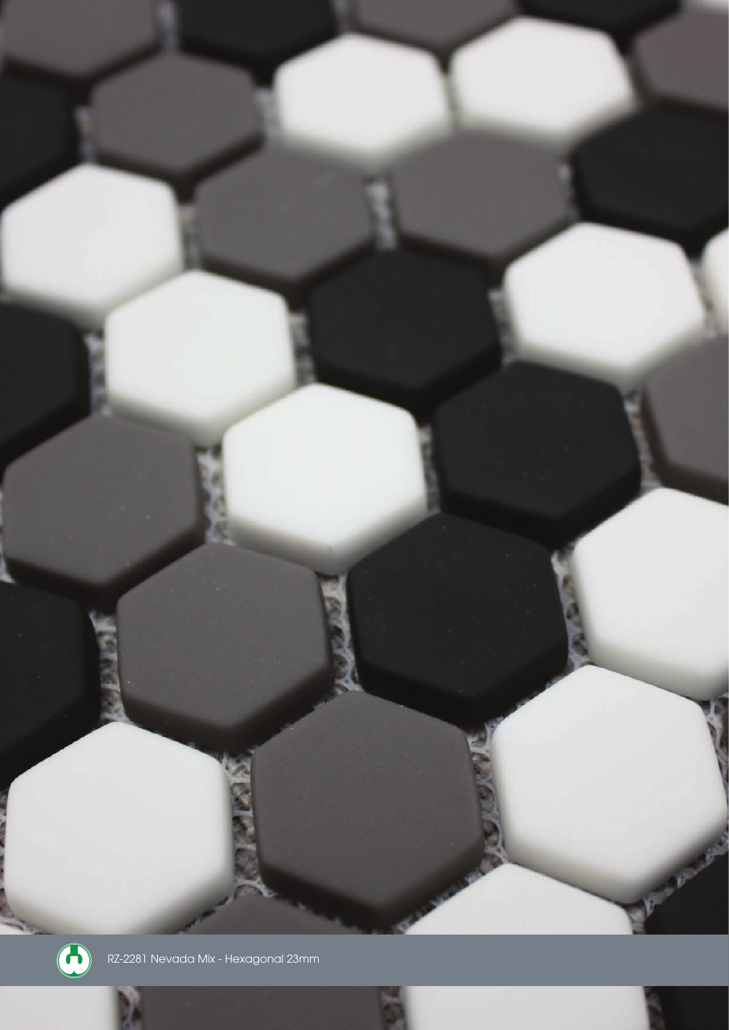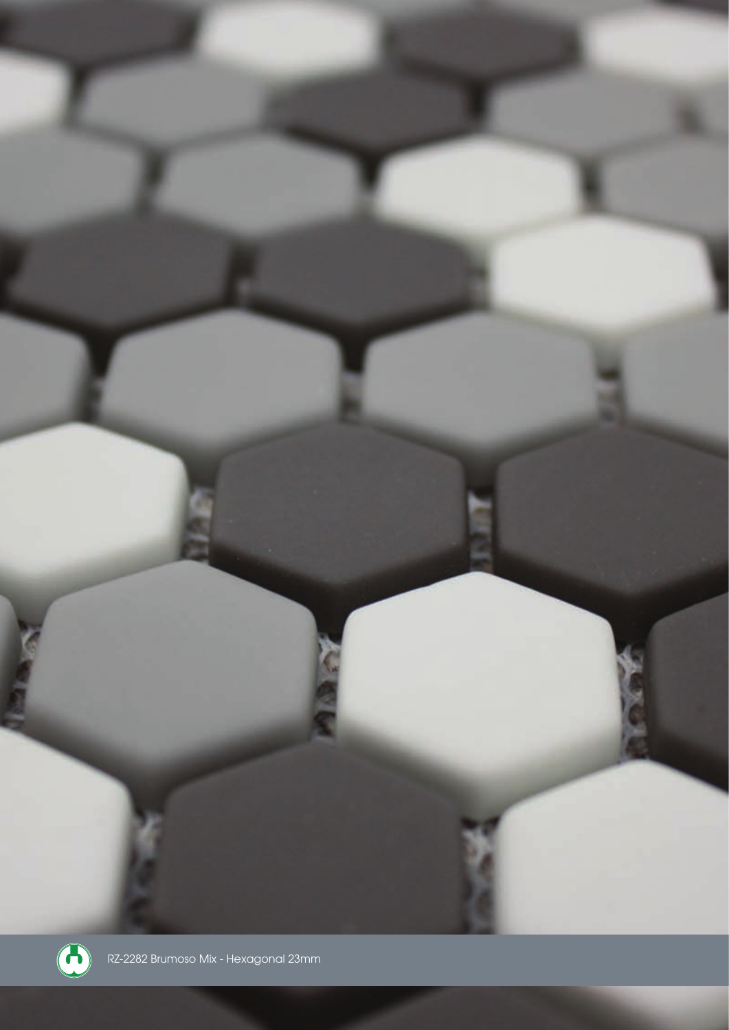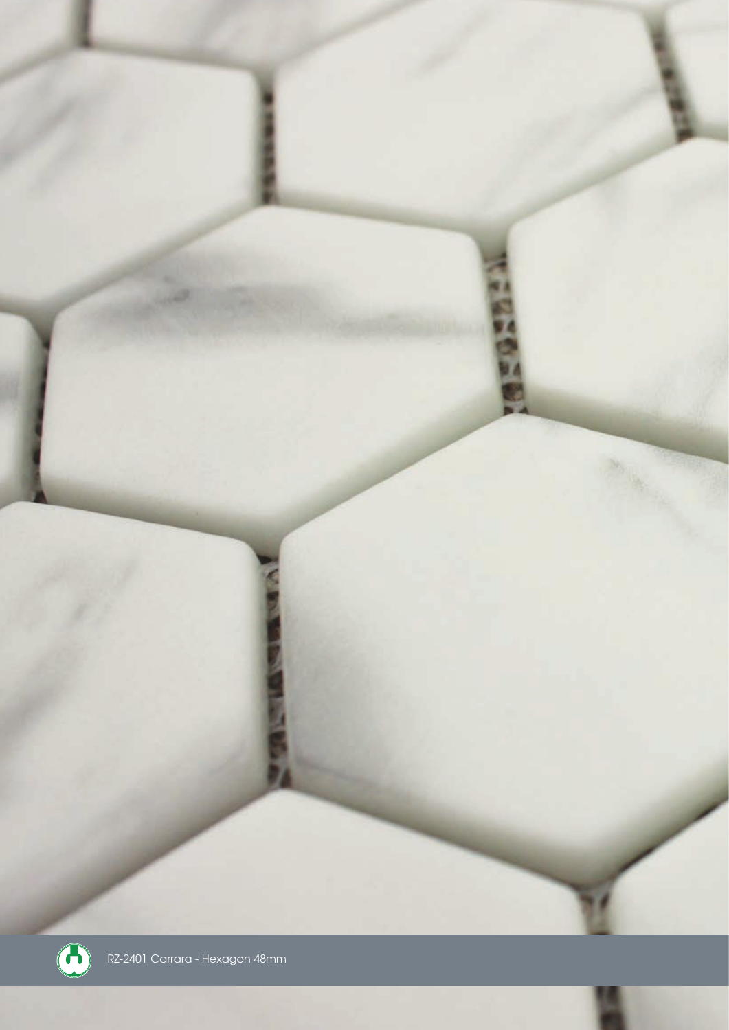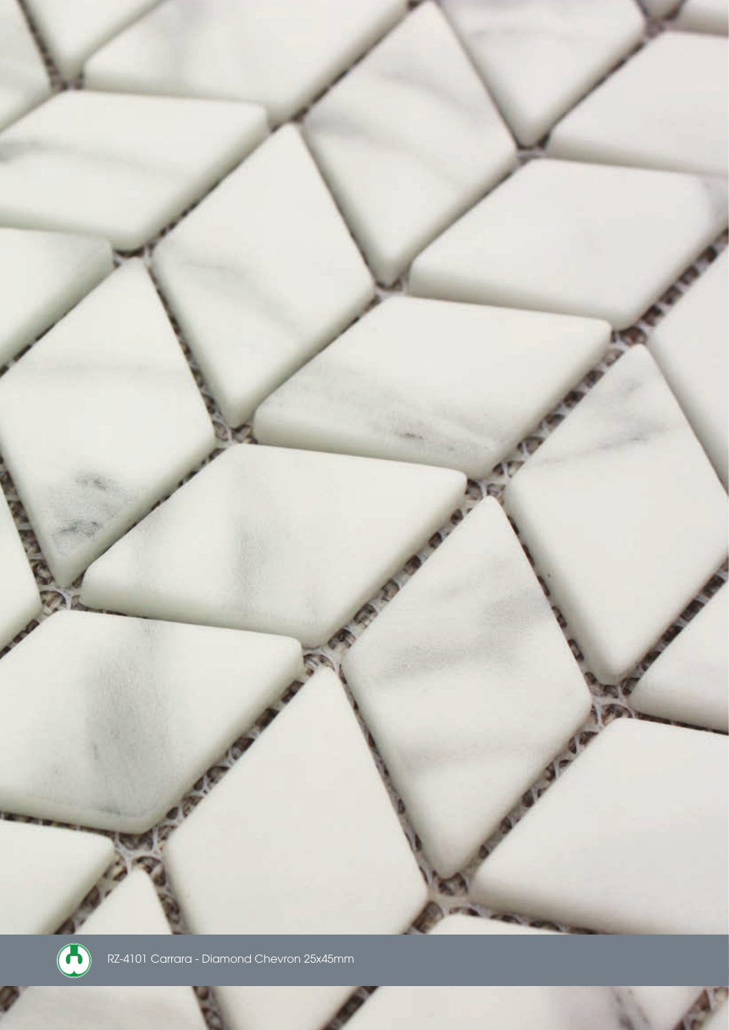

a

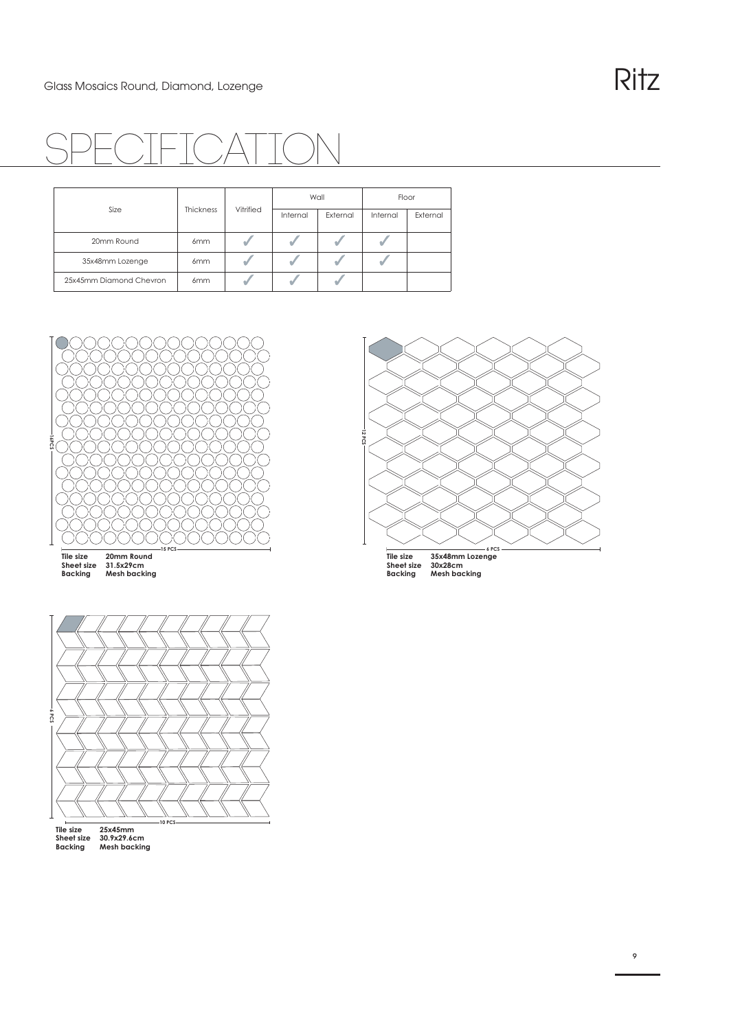

| Size                    | <b>Thickness</b> | Vitrified | Wall     |          | Floor    |          |
|-------------------------|------------------|-----------|----------|----------|----------|----------|
|                         |                  |           | Internal | External | Internal | External |
| 20mm Round              | 6 <sub>mm</sub>  |           |          |          |          |          |
| 35x48mm Lozenge         | 6 <sub>mm</sub>  |           |          |          |          |          |
| 25x45mm Diamond Chevron | 6mm              |           |          |          |          |          |



**12 PCS**

**6 PCS 10 PCS**

**Tile size 25x45mm Sheet size 30.9x29.6cm Backing Mesh backing**

**6 PCS Tile size 35x48mm Lozenge Sheet size 30x28cm Backing Mesh backing**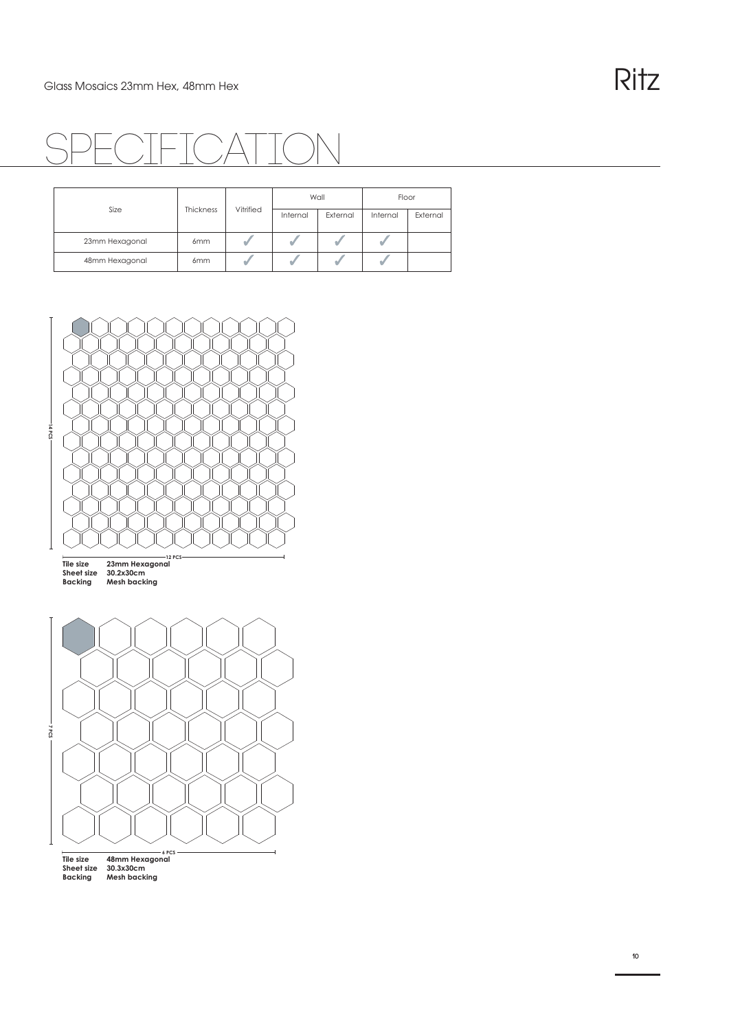

| Size           | Thickness       | Vitrified | Wall     |          | Floor    |          |
|----------------|-----------------|-----------|----------|----------|----------|----------|
|                |                 |           | Internal | External | Internal | External |
| 23mm Hexagonal | 6 <sub>mm</sub> |           |          |          |          |          |
| 48mm Hexagonal | 6 <sub>mm</sub> |           |          |          |          |          |



**12 PCS Tile size 23mm Hexagonal Sheet size 30.2x30cm Backing Mesh backing**



**Tile size 48mm Hexagonal Sheet size 30.3x30cm Backing Mesh backing**

**10**